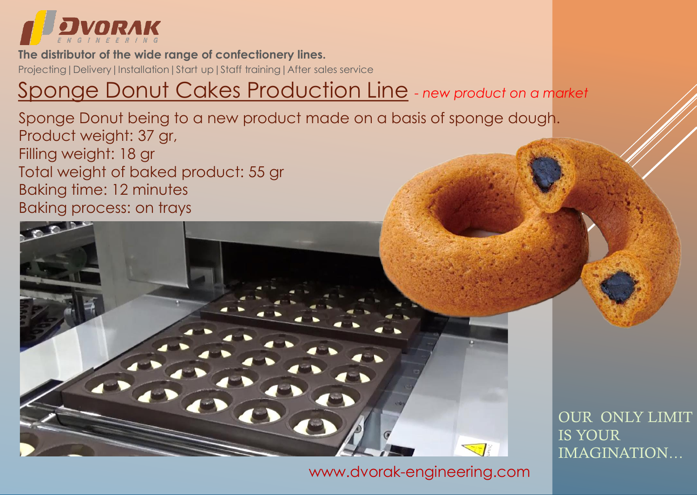

#### **The distributor of the wide range of confectionery lines.**

Projecting | Delivery | Installation | Start up | Staff training | After sales service

### Sponge Donut Cakes Production Line *- new product on a market*

Sponge Donut being to a new product made on a basis of sponge dough. Product weight: 37 gr, Filling weight: 18 gr Total weight of baked product: 55 gr Baking time: 12 minutes Baking process: on trays



[www.dvorak-engineering.com](https://www.dvorak-engineering.com/)

OUR ONLY LIMIT IS YOUR IMAGINATION…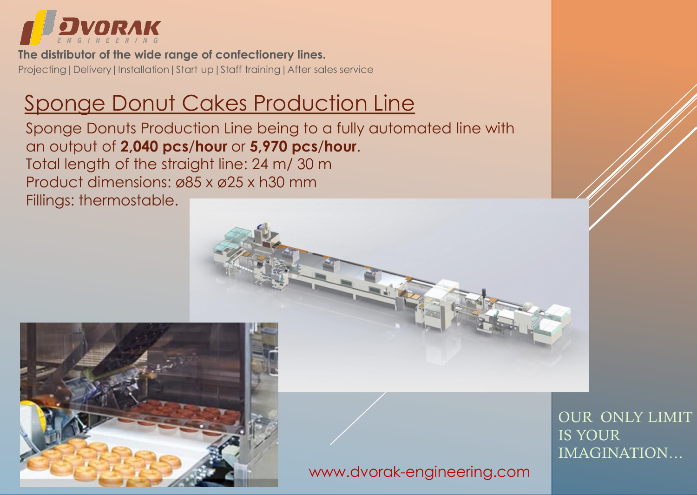

Projecting | Delivery | Installation | Start up | Staff training | After sales service **The distributor of the wide range of confectionery lines.**

# Sponge Donut Cakes Production Line

Sponge Donuts Production Line being to a fully automated line with an output of **2,040 pcs**/**hour** or **5,970 pcs**/**hour**. Total length of the straight line: 24 m/ 30 m Product dimensions: ø85 x ø25 x h30 mm Fillings: thermostable.



[www.dvorak-engineering.com](https://www.dvorak-engineering.com/)

OUR ONLY LIMIT IS YOUR IMAGINATION…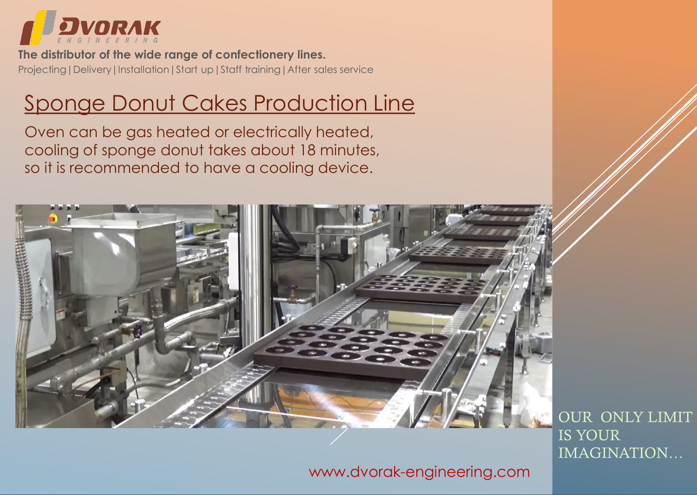

Projecting | Delivery | Installation | Start up | Staff training | After sales service **The distributor of the wide range of confectionery lines.**

### Sponge Donut Cakes Production Line

Oven can be gas heated or electrically heated, cooling of sponge donut takes about 18 minutes, so it is recommended to have a cooling device.



OUR ONLY LIMIT IS YOUR IMAGINATION…

[www.dvorak-engineering.com](https://www.dvorak-engineering.com/)